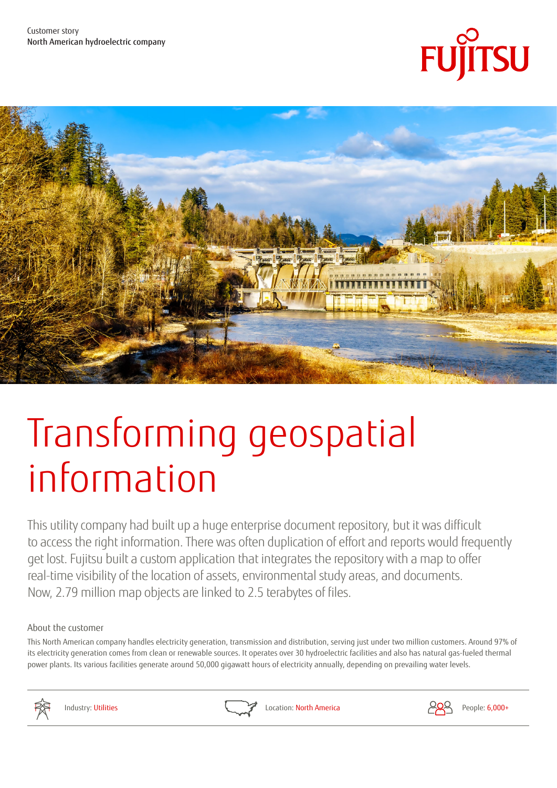



# Transforming geospatial information

This utility company had built up a huge enterprise document repository, but it was difficult to access the right information. There was often duplication of effort and reports would frequently get lost. Fujitsu built a custom application that integrates the repository with a map to offer real-time visibility of the location of assets, environmental study areas, and documents. Now, 2.79 million map objects are linked to 2.5 terabytes of files.

## About the customer

This North American company handles electricity generation, transmission and distribution, serving just under two million customers. Around 97% of its electricity generation comes from clean or renewable sources. It operates over 30 hydroelectric facilities and also has natural gas-fueled thermal power plants. Its various facilities generate around 50,000 gigawatt hours of electricity annually, depending on prevailing water levels.





Industry: Utilities **Location: North America** People: 6,000+